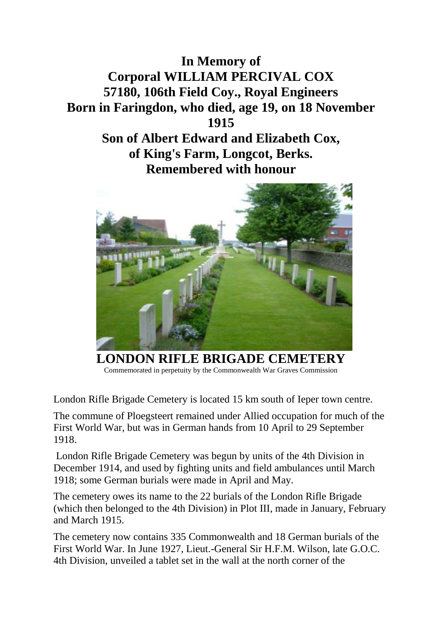

**Remembered with honour**



**LONDON RIFLE BRIGADE CEMETERY** Commemorated in perpetuity by the Commonwealth War Graves Commission

London Rifle Brigade Cemetery is located 15 km south of Ieper town centre.

The commune of Ploegsteert remained under Allied occupation for much of the First World War, but was in German hands from 10 April to 29 September 1918.

London Rifle Brigade Cemetery was begun by units of the 4th Division in December 1914, and used by fighting units and field ambulances until March 1918; some German burials were made in April and May.

The cemetery owes its name to the 22 burials of the London Rifle Brigade (which then belonged to the 4th Division) in Plot III, made in January, February and March 1915.

The cemetery now contains 335 Commonwealth and 18 German burials of the First World War. In June 1927, Lieut.-General Sir H.F.M. Wilson, late G.O.C. 4th Division, unveiled a tablet set in the wall at the north corner of the